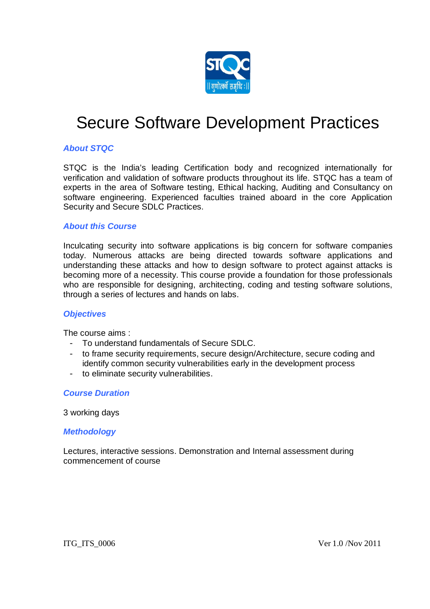

# Secure Software Development Practices

## *About STQC*

STQC is the India's leading Certification body and recognized internationally for verification and validation of software products throughout its life. STQC has a team of experts in the area of Software testing, Ethical hacking, Auditing and Consultancy on software engineering. Experienced faculties trained aboard in the core Application Security and Secure SDLC Practices.

### *About this Course*

Inculcating security into software applications is big concern for software companies today. Numerous attacks are being directed towards software applications and understanding these attacks and how to design software to protect against attacks is becoming more of a necessity. This course provide a foundation for those professionals who are responsible for designing, architecting, coding and testing software solutions, through a series of lectures and hands on labs.

#### *Objectives*

The course aims :

- To understand fundamentals of Secure SDLC.
- to frame security requirements, secure design/Architecture, secure coding and identify common security vulnerabilities early in the development process
- to eliminate security vulnerabilities.

#### *Course Duration*

#### 3 working days

#### *Methodology*

Lectures, interactive sessions. Demonstration and Internal assessment during commencement of course